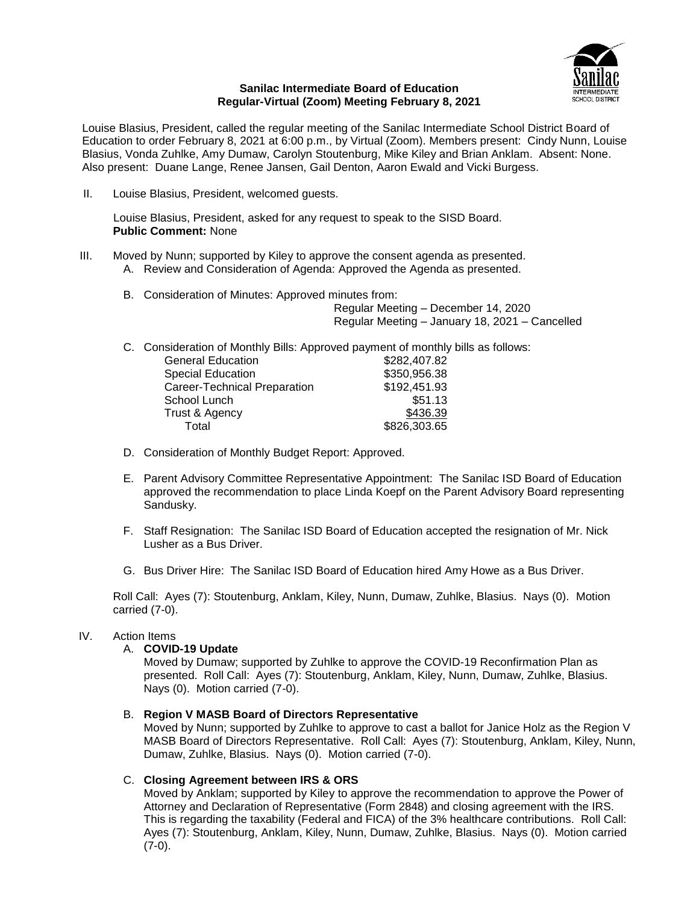

#### **Sanilac Intermediate Board of Education Regular-Virtual (Zoom) Meeting February 8, 2021**

Louise Blasius, President, called the regular meeting of the Sanilac Intermediate School District Board of Education to order February 8, 2021 at 6:00 p.m., by Virtual (Zoom). Members present: Cindy Nunn, Louise Blasius, Vonda Zuhlke, Amy Dumaw, Carolyn Stoutenburg, Mike Kiley and Brian Anklam. Absent: None. Also present: Duane Lange, Renee Jansen, Gail Denton, Aaron Ewald and Vicki Burgess.

II. Louise Blasius, President, welcomed guests.

Louise Blasius, President, asked for any request to speak to the SISD Board. **Public Comment:** None

- III. Moved by Nunn; supported by Kiley to approve the consent agenda as presented.
	- A. Review and Consideration of Agenda: Approved the Agenda as presented.
	- B. Consideration of Minutes: Approved minutes from:

Regular Meeting – December 14, 2020 Regular Meeting – January 18, 2021 – Cancelled

C. Consideration of Monthly Bills: Approved payment of monthly bills as follows:

| \$282,407.82 |
|--------------|
| \$350,956.38 |
| \$192,451.93 |
| \$51.13      |
| \$436.39     |
| \$826,303.65 |
|              |

- D. Consideration of Monthly Budget Report: Approved.
- E. Parent Advisory Committee Representative Appointment: The Sanilac ISD Board of Education approved the recommendation to place Linda Koepf on the Parent Advisory Board representing Sandusky.
- F. Staff Resignation: The Sanilac ISD Board of Education accepted the resignation of Mr. Nick Lusher as a Bus Driver.
- G. Bus Driver Hire: The Sanilac ISD Board of Education hired Amy Howe as a Bus Driver.

Roll Call: Ayes (7): Stoutenburg, Anklam, Kiley, Nunn, Dumaw, Zuhlke, Blasius. Nays (0). Motion carried (7-0).

# IV. Action Items

# A. **COVID-19 Update**

Moved by Dumaw; supported by Zuhlke to approve the COVID-19 Reconfirmation Plan as presented. Roll Call: Ayes (7): Stoutenburg, Anklam, Kiley, Nunn, Dumaw, Zuhlke, Blasius. Nays (0). Motion carried (7-0).

# B. **Region V MASB Board of Directors Representative**

Moved by Nunn; supported by Zuhlke to approve to cast a ballot for Janice Holz as the Region V MASB Board of Directors Representative. Roll Call: Ayes (7): Stoutenburg, Anklam, Kiley, Nunn, Dumaw, Zuhlke, Blasius. Nays (0). Motion carried (7-0).

# C. **Closing Agreement between IRS & ORS**

Moved by Anklam; supported by Kiley to approve the recommendation to approve the Power of Attorney and Declaration of Representative (Form 2848) and closing agreement with the IRS. This is regarding the taxability (Federal and FICA) of the 3% healthcare contributions. Roll Call: Ayes (7): Stoutenburg, Anklam, Kiley, Nunn, Dumaw, Zuhlke, Blasius. Nays (0). Motion carried (7-0).